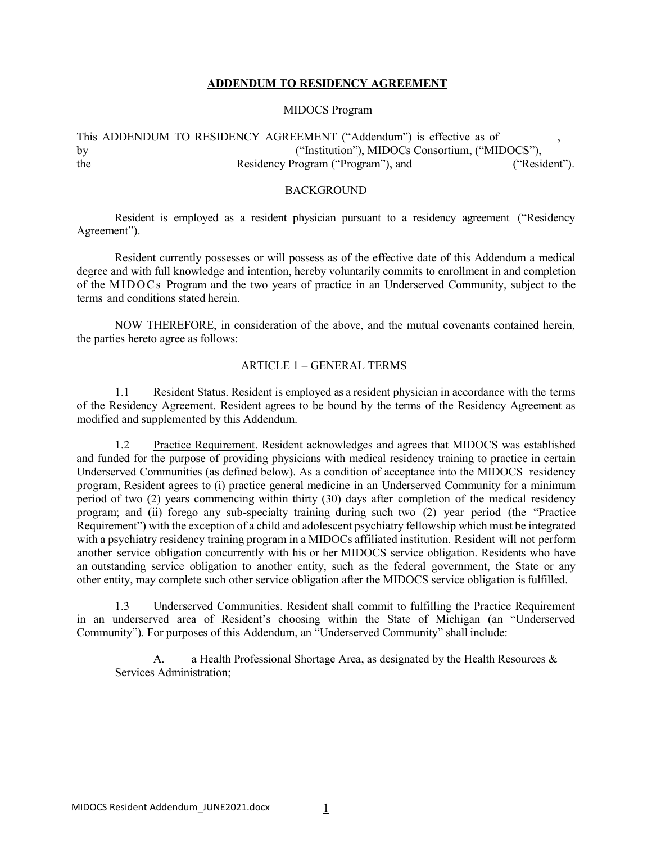## **ADDENDUM TO RESIDENCY AGREEMENT**

# MIDOCS Program

This ADDENDUM TO RESIDENCY AGREEMENT ("Addendum") is effective as of , by ("Institution"), MIDOCs Consortium, ("MIDOCS"), the Residency Program ("Program"), and ("Resident").

#### BACKGROUND

Resident is employed as a resident physician pursuant to a residency agreement ("Residency Agreement").

Resident currently possesses or will possess as of the effective date of this Addendum a medical degree and with full knowledge and intention, hereby voluntarily commits to enrollment in and completion of the MIDOCs Program and the two years of practice in an Underserved Community, subject to the terms and conditions stated herein.

NOW THEREFORE, in consideration of the above, and the mutual covenants contained herein, the parties hereto agree as follows:

#### ARTICLE 1 – GENERAL TERMS

1.1 Resident Status. Resident is employed as a resident physician in accordance with the terms of the Residency Agreement. Resident agrees to be bound by the terms of the Residency Agreement as modified and supplemented by this Addendum.

1.2 Practice Requirement. Resident acknowledges and agrees that MIDOCS was established and funded for the purpose of providing physicians with medical residency training to practice in certain Underserved Communities (as defined below). As a condition of acceptance into the MIDOCS residency program, Resident agrees to (i) practice general medicine in an Underserved Community for a minimum period of two (2) years commencing within thirty (30) days after completion of the medical residency program; and (ii) forego any sub-specialty training during such two (2) year period (the "Practice Requirement") with the exception of a child and adolescent psychiatry fellowship which must be integrated with a psychiatry residency training program in a MIDOCs affiliated institution. Resident will not perform another service obligation concurrently with his or her MIDOCS service obligation. Residents who have an outstanding service obligation to another entity, such as the federal government, the State or any other entity, may complete such other service obligation after the MIDOCS service obligation isfulfilled.

1.3 Underserved Communities. Resident shall commit to fulfilling the Practice Requirement in an underserved area of Resident's choosing within the State of Michigan (an "Underserved Community"). For purposes of this Addendum, an "Underserved Community" shall include:

A. a Health Professional Shortage Area, as designated by the Health Resources  $\&$ Services Administration;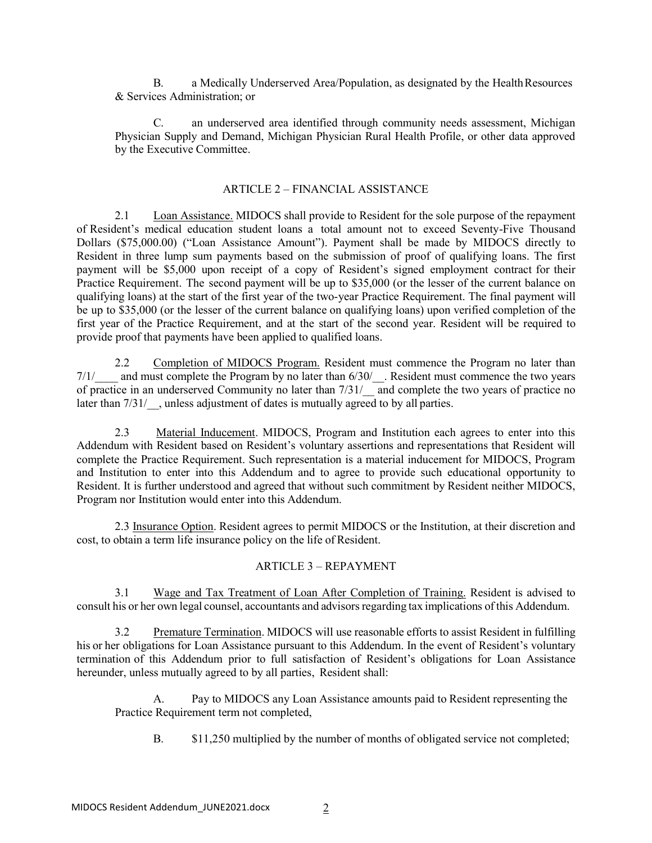B. a Medically Underserved Area/Population, as designated by the HealthResources & Services Administration; or

C. an underserved area identified through community needs assessment, Michigan Physician Supply and Demand, Michigan Physician Rural Health Profile, or other data approved by the Executive Committee.

### ARTICLE 2 – FINANCIAL ASSISTANCE

2.1 Loan Assistance. MIDOCS shall provide to Resident for the sole purpose of the repayment of Resident's medical education student loans a total amount not to exceed Seventy-Five Thousand Dollars (\$75,000.00) ("Loan Assistance Amount"). Payment shall be made by MIDOCS directly to Resident in three lump sum payments based on the submission of proof of qualifying loans. The first payment will be \$5,000 upon receipt of a copy of Resident's signed employment contract for their Practice Requirement. The second payment will be up to \$35,000 (or the lesser of the current balance on qualifying loans) at the start of the first year of the two-year Practice Requirement. The final payment will be up to \$35,000 (or the lesser of the current balance on qualifying loans) upon verified completion of the first year of the Practice Requirement, and at the start of the second year. Resident will be required to provide proof that payments have been applied to qualified loans.

2.2 Completion of MIDOCS Program. Resident must commence the Program no later than 7/1/<sub>and must complete the Program by no later than 6/30/.</sub> Resident must commence the two years of practice in an underserved Community no later than  $7/31/$  and complete the two years of practice no later than  $7/31/$ , unless adjustment of dates is mutually agreed to by all parties.

2.3 Material Inducement. MIDOCS, Program and Institution each agrees to enter into this Addendum with Resident based on Resident's voluntary assertions and representations that Resident will complete the Practice Requirement. Such representation is a material inducement for MIDOCS, Program and Institution to enter into this Addendum and to agree to provide such educational opportunity to Resident. It is further understood and agreed that without such commitment by Resident neither MIDOCS, Program nor Institution would enter into this Addendum.

2.3 Insurance Option. Resident agrees to permit MIDOCS or the Institution, at their discretion and cost, to obtain a term life insurance policy on the life of Resident.

## ARTICLE 3 – REPAYMENT

3.1 Wage and Tax Treatment of Loan After Completion of Training. Resident is advised to consult his or her own legal counsel, accountants and advisorsregarding tax implications of this Addendum.

3.2 Premature Termination. MIDOCS will use reasonable efforts to assist Resident in fulfilling his or her obligations for Loan Assistance pursuant to this Addendum. In the event of Resident's voluntary termination of this Addendum prior to full satisfaction of Resident's obligations for Loan Assistance hereunder, unless mutually agreed to by all parties, Resident shall:

A. Pay to MIDOCS any Loan Assistance amounts paid to Resident representing the Practice Requirement term not completed,

B. \$11,250 multiplied by the number of months of obligated service not completed;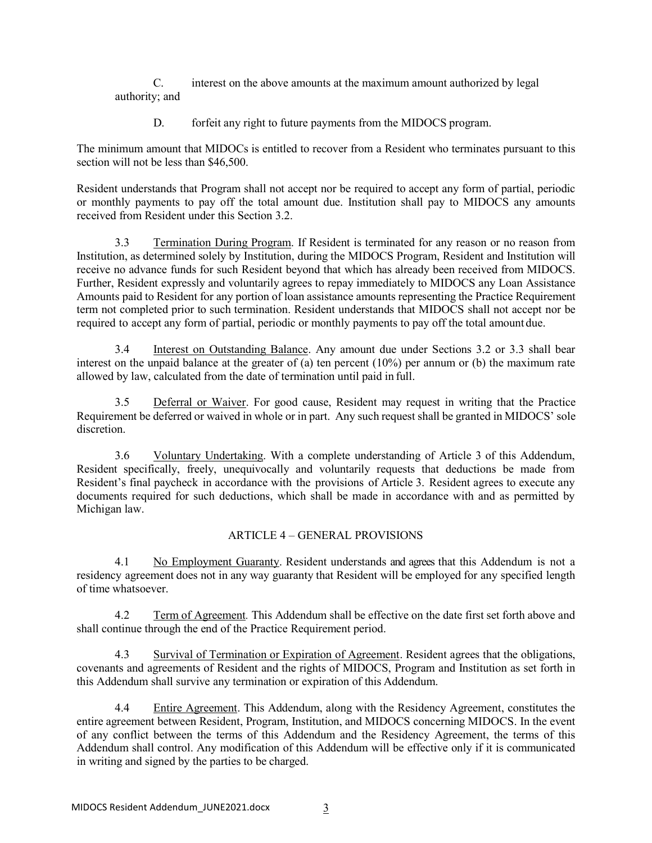C. interest on the above amounts at the maximum amount authorized by legal authority; and

D. forfeit any right to future payments from the MIDOCS program.

The minimum amount that MIDOCs is entitled to recover from a Resident who terminates pursuant to this section will not be less than \$46,500.

Resident understands that Program shall not accept nor be required to accept any form of partial, periodic or monthly payments to pay off the total amount due. Institution shall pay to MIDOCS any amounts received from Resident under this Section 3.2.

3.3 Termination During Program. If Resident is terminated for any reason or no reason from Institution, as determined solely by Institution, during the MIDOCS Program, Resident and Institution will receive no advance funds for such Resident beyond that which has already been received from MIDOCS. Further, Resident expressly and voluntarily agrees to repay immediately to MIDOCS any Loan Assistance Amounts paid to Resident for any portion of loan assistance amounts representing the Practice Requirement term not completed prior to such termination. Resident understands that MIDOCS shall not accept nor be required to accept any form of partial, periodic or monthly payments to pay off the total amount due.

3.4 Interest on Outstanding Balance. Any amount due under Sections 3.2 or 3.3 shall bear interest on the unpaid balance at the greater of (a) ten percent (10%) per annum or (b) the maximum rate allowed by law, calculated from the date of termination until paid in full.

3.5 Deferral or Waiver. For good cause, Resident may request in writing that the Practice Requirement be deferred or waived in whole or in part. Any such request shall be granted in MIDOCS' sole discretion.

3.6 Voluntary Undertaking. With a complete understanding of Article 3 of this Addendum, Resident specifically, freely, unequivocally and voluntarily requests that deductions be made from Resident's final paycheck in accordance with the provisions of Article 3. Resident agrees to execute any documents required for such deductions, which shall be made in accordance with and as permitted by Michigan law.

# ARTICLE 4 – GENERAL PROVISIONS

4.1 No Employment Guaranty. Resident understands and agrees that this Addendum is not a residency agreement does not in any way guaranty that Resident will be employed for any specified length of time whatsoever.

4.2 Term of Agreement*.* This Addendum shall be effective on the date first set forth above and shall continue through the end of the Practice Requirement period.

4.3 Survival of Termination or Expiration of Agreement. Resident agrees that the obligations, covenants and agreements of Resident and the rights of MIDOCS, Program and Institution as set forth in this Addendum shall survive any termination or expiration of this Addendum.

4.4 Entire Agreement. This Addendum, along with the Residency Agreement, constitutes the entire agreement between Resident, Program, Institution, and MIDOCS concerning MIDOCS. In the event of any conflict between the terms of this Addendum and the Residency Agreement, the terms of this Addendum shall control. Any modification of this Addendum will be effective only if it is communicated in writing and signed by the parties to be charged.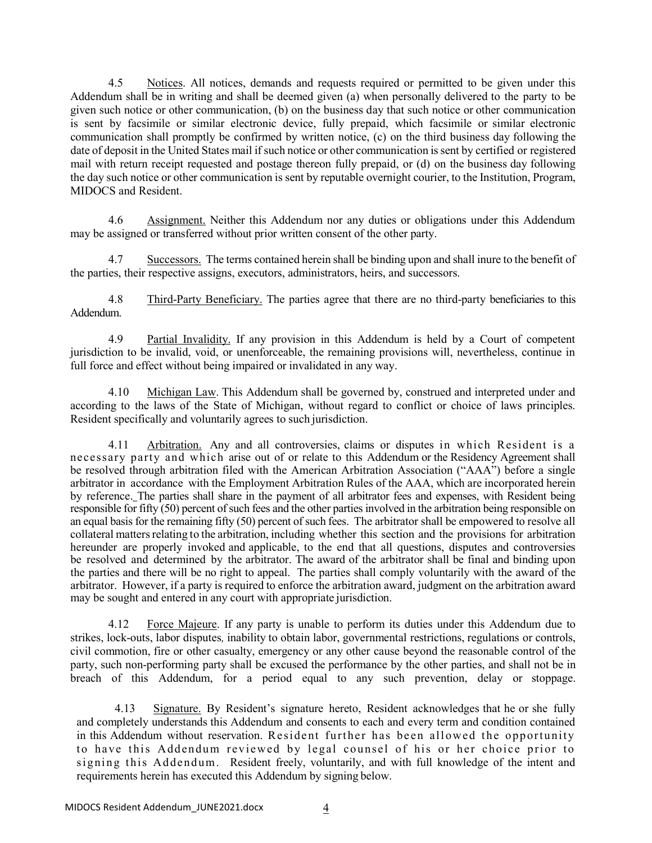4.5 Notices. All notices, demands and requests required or permitted to be given under this Addendum shall be in writing and shall be deemed given (a) when personally delivered to the party to be given such notice or other communication, (b) on the business day that such notice or other communication is sent by facsimile or similar electronic device, fully prepaid, which facsimile or similar electronic communication shall promptly be confirmed by written notice, (c) on the third business day following the date of deposit in the United States mail if such notice or other communication is sent by certified or registered mail with return receipt requested and postage thereon fully prepaid, or (d) on the business day following the day such notice or other communication is sent by reputable overnight courier, to the Institution, Program, MIDOCS and Resident.

4.6 Assignment. Neither this Addendum nor any duties or obligations under this Addendum may be assigned or transferred without prior written consent of the other party.

4.7 Successors. The terms contained herein shall be binding upon and shall inure to the benefit of the parties, their respective assigns, executors, administrators, heirs, and successors.

4.8 Third-Party Beneficiary. The parties agree that there are no third-party beneficiaries to this Addendum.

4.9 Partial Invalidity. If any provision in this Addendum is held by a Court of competent jurisdiction to be invalid, void, or unenforceable, the remaining provisions will, nevertheless, continue in full force and effect without being impaired or invalidated in any way.

4.10 Michigan Law. This Addendum shall be governed by, construed and interpreted under and according to the laws of the State of Michigan, without regard to conflict or choice of laws principles. Resident specifically and voluntarily agrees to such jurisdiction.

4.11 Arbitration. Any and all controversies, claims or disputes in which Resident is a necessary party and which arise out of or relate to this Addendum or the Residency Agreement shall be resolved through arbitration filed with the American Arbitration Association ("AAA") before a single arbitrator in accordance with the Employment Arbitration Rules of the AAA, which are incorporated herein by reference. The parties shall share in the payment of all arbitrator fees and expenses, with Resident being responsible for fifty (50) percent of such fees and the other parties involved in the arbitration being responsible on an equal basis for the remaining fifty (50) percent of such fees. The arbitrator shall be empowered to resolve all collateral mattersrelating to the arbitration, including whether this section and the provisions for arbitration hereunder are properly invoked and applicable, to the end that all questions, disputes and controversies be resolved and determined by the arbitrator. The award of the arbitrator shall be final and binding upon the parties and there will be no right to appeal. The parties shall comply voluntarily with the award of the arbitrator. However, if a party is required to enforce the arbitration award, judgment on the arbitration award may be sought and entered in any court with appropriate jurisdiction.

4.12 Force Majeure. If any party is unable to perform its duties under this Addendum due to strikes, lock-outs, labor disputes*,* inability to obtain labor, governmental restrictions, regulations or controls, civil commotion, fire or other casualty, emergency or any other cause beyond the reasonable control of the party, such non-performing party shall be excused the performance by the other parties, and shall not be in breach of this Addendum, for a period equal to any such prevention, delay or stoppage.

4.13 Signature. By Resident's signature hereto, Resident acknowledges that he or she fully and completely understands this Addendum and consents to each and every term and condition contained in this Addendum without reservation. Resident further has been allowed the opportunity to have this Addendum reviewed by legal counsel of his or her choice prior to signing this Addendum. Resident freely, voluntarily, and with full knowledge of the intent and requirements herein has executed this Addendum by signing below.